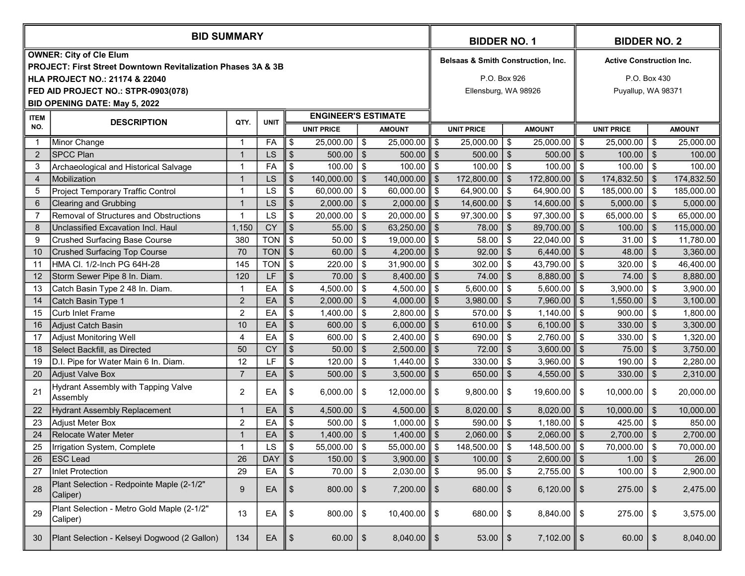| <b>BID SUMMARY</b>                                                      |                                                        |                         |                                            |                           |                                 |               |                          |       |                      | <b>BIDDER NO. 1</b>       |                         |                         |                      | <b>BIDDER NO. 2</b> |               |  |  |
|-------------------------------------------------------------------------|--------------------------------------------------------|-------------------------|--------------------------------------------|---------------------------|---------------------------------|---------------|--------------------------|-------|----------------------|---------------------------|-------------------------|-------------------------|----------------------|---------------------|---------------|--|--|
| <b>OWNER: City of Cle Elum</b>                                          | Belsaas & Smith Construction, Inc.                     |                         |                                            |                           | <b>Active Construction Inc.</b> |               |                          |       |                      |                           |                         |                         |                      |                     |               |  |  |
| <b>PROJECT: First Street Downtown Revitalization Phases 3A &amp; 3B</b> |                                                        |                         |                                            |                           |                                 |               |                          |       |                      |                           |                         |                         |                      |                     |               |  |  |
| HLA PROJECT NO.: 21174 & 22040                                          | P.O. Box 926                                           |                         |                                            |                           |                                 | P.O. Box 430  |                          |       |                      |                           |                         |                         |                      |                     |               |  |  |
|                                                                         | FED AID PROJECT NO.: STPR-0903(078)                    |                         | Ellensburg, WA 98926<br>Puyallup, WA 98371 |                           |                                 |               |                          |       |                      |                           |                         |                         |                      |                     |               |  |  |
|                                                                         | <b>BID OPENING DATE: May 5, 2022</b>                   |                         |                                            |                           |                                 |               |                          |       |                      |                           |                         |                         |                      |                     |               |  |  |
| <b>ITEM</b>                                                             | <b>DESCRIPTION</b>                                     | QTY.                    | <b>UNIT</b>                                |                           | <b>ENGINEER'S ESTIMATE</b>      |               |                          |       |                      |                           |                         |                         |                      |                     |               |  |  |
| NO.                                                                     |                                                        |                         |                                            |                           | <b>UNIT PRICE</b>               |               | <b>AMOUNT</b>            |       | <b>UNIT PRICE</b>    |                           | <b>AMOUNT</b>           |                         | <b>UNIT PRICE</b>    |                     | <b>AMOUNT</b> |  |  |
|                                                                         | Minor Change                                           | 1                       | FA                                         | \$                        | $25,000.00$   \$                |               | $25,000.00$ \$           |       | $25,000.00$ \$       |                           | 25,000.00               | \$                      | $25,000.00$   \$     |                     | 25,000.00     |  |  |
| $\overline{2}$                                                          | <b>SPCC Plan</b>                                       | $\overline{1}$          | LS                                         | \$                        | 500.00                          | $\sqrt[6]{3}$ | 500.00                   | \$    | 500.00               | \$                        | 500.00                  | \$                      | 100.00               | $\frac{3}{2}$       | 100.00        |  |  |
| 3                                                                       | Archaeological and Historical Salvage                  | 1                       | FA                                         | \$                        | $100.00$   \$                   |               | 100.00                   | \$    | 100.00               | \$                        | 100.00                  | \$                      | 100.00               | \$                  | 100.00        |  |  |
| $\overline{4}$                                                          | Mobilization                                           | 1                       | LS                                         | \$                        | $140,000.00$   \$               |               | 140,000.00               | l \$  | 172,800.00           | $\mathfrak{L}$            | 172,800.00              | $\sqrt{3}$              | $174,832.50$ \ \$    |                     | 174,832.50    |  |  |
| 5                                                                       | Project Temporary Traffic Control                      | 1                       | LS                                         | \$                        | $60,000.00$   \$                |               | 60,000.00                | l \$  | 64,900.00            | \$                        | 64,900.00               | \$                      | 185,000.00           | \$                  | 185,000.00    |  |  |
| 6                                                                       | <b>Clearing and Grubbing</b>                           | $\overline{\mathbf{1}}$ | LS                                         |                           | $2,000.00$   \$                 |               | 2,000.00                 | l \$  | 14,600.00            | $\mathfrak{L}$            | 14,600.00               | $\mathcal{S}$           | $5,000.00$   \$      |                     | 5,000.00      |  |  |
| 7                                                                       | Removal of Structures and Obstructions                 | 1                       | LS                                         | \$                        | 20,000.00                       | -\$           | 20,000.00                | \$    | 97,300.00            | \$                        | 97,300.00               | $\sqrt[6]{\frac{1}{2}}$ | 65,000.00            | l \$                | 65,000.00     |  |  |
| 8                                                                       | Unclassified Excavation Incl. Haul                     | 1,150                   | <b>CY</b>                                  | \$                        | 55.00                           | $\sqrt[6]{3}$ | 63,250.00                | ll \$ | 78.00                | \$                        | 89,700.00               | $\mathfrak{F}$          | 100.00               | $\sqrt{3}$          | 115,000.00    |  |  |
| 9                                                                       | <b>Crushed Surfacing Base Course</b>                   | 380                     | <b>TON</b>                                 | \$                        | 50.00                           | \$            | 19,000.00                | l \$  | 58.00                | \$                        | 22,040.00               | \$                      | 31.00                | \$                  | 11,780.00     |  |  |
| 10                                                                      | <b>Crushed Surfacing Top Course</b>                    | 70                      | <b>TON</b>                                 | \$                        | 60.00                           | \$            | 4,200.00                 | l \$  | 92.00                | $\mathfrak{L}$            | 6,440.00                | $\mathfrak{S}$          | 48.00                | \$                  | 3,360.00      |  |  |
| 11                                                                      | HMA Cl. 1/2-Inch PG 64H-28                             | 145                     | <b>TON</b>                                 | \$                        | 220.00                          | \$            | 31,900.00                | l \$  | 302.00               | \$                        | 43,790.00               | \$                      | 320.00               | \$                  | 46,400.00     |  |  |
| 12                                                                      | Storm Sewer Pipe 8 In. Diam.                           | 120                     | LF                                         | \$                        | 70.00                           | ∣\$           | 8,400.00                 | ll \$ | 74.00                | $\mathsf{\$}$             | 8,880.00                | \$                      | $74.00$ \ \$         |                     | 8,880.00      |  |  |
| 13                                                                      | Catch Basin Type 2 48 In. Diam.                        | $\mathbf{1}$            | EA                                         | \$                        | 4,500.00                        | ∣\$           | 4,500.00                 | \$    | 5,600.00             | \$                        | 5,600.00                | \$                      | $3,900.00$   \$      |                     | 3,900.00      |  |  |
| 14                                                                      | Catch Basin Type 1                                     | $\overline{2}$          | EA                                         | \$                        | $2,000.00$   \$                 |               | 4,000.00                 | \$    | 3,980.00             | $\boldsymbol{\mathsf{S}}$ | 7,960.00                | $\sqrt[6]{\frac{1}{2}}$ | $1,550.00$ \$        |                     | 3,100.00      |  |  |
| 15                                                                      | <b>Curb Inlet Frame</b>                                | $\overline{c}$          | EA                                         | \$                        | 1,400.00                        | -\$           | 2,800.00                 | \$    | 570.00               | \$                        | 1,140.00                | \$                      | 900.00               | \$                  | 1,800.00      |  |  |
| 16                                                                      | Adjust Catch Basin                                     | 10                      | EA                                         | \$                        | 600.00                          | $\sqrt[6]{3}$ | 6,000.00                 | \$    | 610.00               | $\mathfrak{L}$            | 6,100.00                | $\mathfrak{S}$          | 330.00               | $\mathsf{\$}$       | 3,300.00      |  |  |
| 17                                                                      | Adjust Monitoring Well                                 | 4                       | EA                                         | \$                        | 600.00                          | -\$           | 2,400.00                 | l \$  | 690.00               | \$                        | 2,760.00                | \$                      | 330.00               | \$                  | 1,320.00      |  |  |
| 18                                                                      | Select Backfill, as Directed                           | 50                      | <b>CY</b>                                  | \$                        | 50.00                           | $\sqrt[6]{3}$ | 2,500.00                 | l \$  | 72.00                | $\mathfrak{L}$            | 3,600.00                | \$                      | 75.00                | \$                  | 3,750.00      |  |  |
| 19                                                                      | D.I. Pipe for Water Main 6 In. Diam.                   | 12                      | LF                                         | \$                        | $120.00$   \$                   |               | 1,440.00                 | \$    | 330.00               | \$                        | 3,960.00                | \$                      | $190.00$   \$        |                     | 2,280.00      |  |  |
| 20                                                                      | <b>Adjust Valve Box</b>                                | $\overline{7}$          | EA                                         | \$                        | 500.00                          | -\$           | 3,500.00                 | \$    | 650.00               | \$                        | 4,550.00                | $\sqrt[6]{\frac{1}{2}}$ | 330.00               | \$                  | 2,310.00      |  |  |
| 21                                                                      | Hydrant Assembly with Tapping Valve<br>Assembly        | $\overline{2}$          | EA                                         | \$                        | 6,000.00                        | -\$           | 12,000.00 $\parallel$ \$ |       | 9,800.00             | -\$                       | 19,600.00               | \$                      | 10,000.00            | \$                  | 20,000.00     |  |  |
| 22                                                                      | <b>Hydrant Assembly Replacement</b>                    | 1                       | EA                                         | \$                        | 4,500.00 $\mid$ \$              |               | 4,500.00 $\parallel$ \$  |       | 8,020.00             | $\boldsymbol{\mathsf{s}}$ | 8,020.00                | l \$                    | 10,000.00            | \$                  | 10,000.00     |  |  |
| 23                                                                      | <b>Adjust Meter Box</b>                                | $\overline{2}$          | EA                                         | \$                        | 500.00                          | ∣\$           | 1,000.00                 | l \$  | 590.00               | \$                        | 1,180.00                | \$                      | 425.00 $\frac{1}{3}$ |                     | 850.00        |  |  |
| 24                                                                      | Relocate Water Meter                                   |                         | EA                                         | \$                        | $1,400.00$   \$                 |               | $1,400.00$ \$            |       | 2,060.00             | $\sqrt[6]{3}$             | 2,060.00                | \$                      | $2,700.00$   \$      |                     | 2,700.00      |  |  |
| 25                                                                      | Irrigation System, Complete                            | $\mathbf{1}$            | LS                                         | \$                        | $55,000.00$ \$                  |               | $55,000.00$ \$           |       | $148,500.00$ \$      |                           | 148,500.00              | ⊺\$                     | $70,000.00$ \$       |                     | 70,000.00     |  |  |
| 26                                                                      | <b>ESC Lead</b>                                        | 26                      | <b>DAY</b>                                 | $\boldsymbol{\mathsf{S}}$ | $150.00$   \$                   |               | $3,900.00$ \$            |       | 100.00               | \$                        | $2,600.00$   \$         |                         | $1.00$   \$          |                     | 26.00         |  |  |
| 27                                                                      | Inlet Protection                                       | 29                      | EA                                         | \$                        | $70.00$   \$                    |               | $2,030.00$   \$          |       | 95.00                | \$                        | 2,755.00                | ll \$                   | $100.00$   \$        |                     | 2,900.00      |  |  |
| 28                                                                      | Plant Selection - Redpointe Maple (2-1/2"<br>Caliper)  | 9                       | EA                                         | \$                        | $800.00$   \$                   |               | $7,200.00$   \$          |       | 680.00               | -\$                       | 6,120.00 $\parallel$ \$ |                         | $275.00$   \$        |                     | 2,475.00      |  |  |
| 29                                                                      | Plant Selection - Metro Gold Maple (2-1/2"<br>Caliper) | 13                      | EA                                         | \$                        | $800.00$   \$                   |               | $10,400.00$   \$         |       | 680.00 $\frac{1}{3}$ |                           | $8,840.00$   \$         |                         | $275.00$   \$        |                     | 3,575.00      |  |  |
| 30                                                                      | Plant Selection - Kelseyi Dogwood (2 Gallon)           | 134                     | EA                                         | \$                        | $60.00$   \$                    |               | $8,040.00$ \$            |       | $53.00$   \$         |                           | $7,102.00$ \$           |                         | $60.00$   \$         |                     | 8,040.00      |  |  |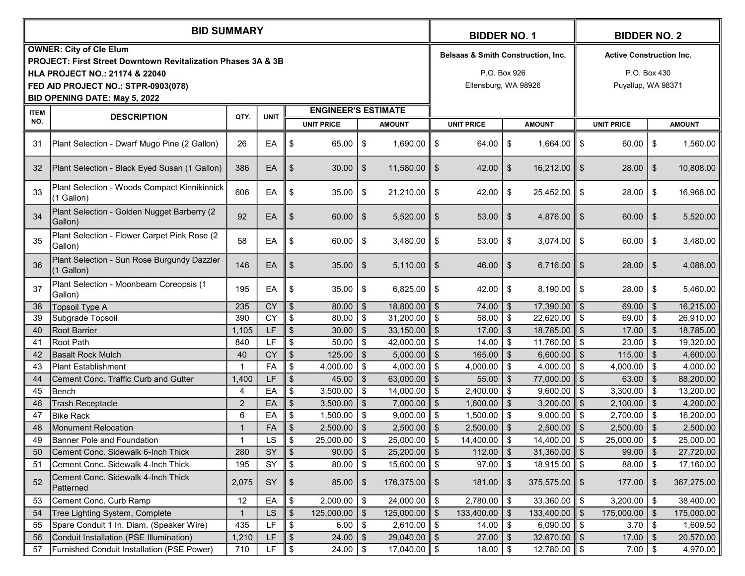| <b>BID SUMMARY</b>                                                                                                                                     |                                                                            |                |                 |                           |                              |                                                                       |                                      | <b>BIDDER NO. 1</b> |                   |                |                           |                         | <b>BIDDER NO. 2</b>   |                |               |  |  |  |  |
|--------------------------------------------------------------------------------------------------------------------------------------------------------|----------------------------------------------------------------------------|----------------|-----------------|---------------------------|------------------------------|-----------------------------------------------------------------------|--------------------------------------|---------------------|-------------------|----------------|---------------------------|-------------------------|-----------------------|----------------|---------------|--|--|--|--|
| <b>OWNER: City of Cle Elum</b><br><b>PROJECT: First Street Downtown Revitalization Phases 3A &amp; 3B</b><br><b>HLA PROJECT NO.: 21174 &amp; 22040</b> | Belsaas & Smith Construction, Inc.<br>P.O. Box 926<br>Ellensburg, WA 98926 |                |                 |                           |                              | <b>Active Construction Inc.</b><br>P.O. Box 430<br>Puyallup, WA 98371 |                                      |                     |                   |                |                           |                         |                       |                |               |  |  |  |  |
| FED AID PROJECT NO.: STPR-0903(078)<br>BID OPENING DATE: May 5, 2022                                                                                   |                                                                            |                |                 |                           |                              |                                                                       |                                      |                     |                   |                |                           |                         |                       |                |               |  |  |  |  |
| <b>ENGINEER'S ESTIMATE</b><br><b>ITEM</b>                                                                                                              |                                                                            |                |                 |                           |                              |                                                                       |                                      |                     |                   |                |                           |                         |                       |                |               |  |  |  |  |
| NO.                                                                                                                                                    | <b>DESCRIPTION</b>                                                         | QTY.           | <b>UNIT</b>     |                           | <b>UNIT PRICE</b>            |                                                                       | <b>AMOUNT</b>                        |                     | <b>UNIT PRICE</b> |                | <b>AMOUNT</b>             |                         | <b>UNIT PRICE</b>     |                | <b>AMOUNT</b> |  |  |  |  |
| 31                                                                                                                                                     | Plant Selection - Dwarf Mugo Pine (2 Gallon)                               | 26             | EA              | \$                        | 65.00 $\frac{1}{3}$          |                                                                       | $1,690.00$   \$                      |                     | 64.00             | -\$            | $1,664.00$ $\parallel$ \$ |                         | 60.00                 | -\$            | 1,560.00      |  |  |  |  |
| 32                                                                                                                                                     | Plant Selection - Black Eyed Susan (1 Gallon)                              | 386            | EA              | -\$                       | 30.00                        | \$                                                                    | 11,580.00 $\parallel$ \$             |                     | 42.00             | \$             | $16,212.00$   \$          |                         | 28.00                 | \$             | 10,808.00     |  |  |  |  |
| 33                                                                                                                                                     | Plant Selection - Woods Compact Kinnikinnick<br>(1 Gallon)                 | 606            | EA              | \$                        | 35.00                        | -\$                                                                   | $21,210.00$   \$                     |                     | 42.00             | -\$            | $25,452.00$   \$          |                         | 28.00                 | -\$            | 16,968.00     |  |  |  |  |
| 34                                                                                                                                                     | Plant Selection - Golden Nugget Barberry (2<br>Gallon)                     | 92             | EA              | -\$                       | 60.00                        | -\$                                                                   | $5,520.00$   \$                      |                     | 53.00             | \$             | $4,876.00$ $\parallel$ \$ |                         | 60.00                 | \$             | 5,520.00      |  |  |  |  |
| 35                                                                                                                                                     | Plant Selection - Flower Carpet Pink Rose (2<br>Gallon)                    | 58             | EA              | \$                        | 60.00                        | -\$                                                                   | $3,480.00$   \$                      |                     | 53.00             | -\$            | $3,074.00$   \$           |                         | 60.00                 | -\$            | 3,480.00      |  |  |  |  |
| 36                                                                                                                                                     | Plant Selection - Sun Rose Burgundy Dazzler<br>$(1$ Gallon)                | 146            | EA              | \$                        | 35.00                        | \$                                                                    | $5,110.00$   \$                      |                     | 46.00             | \$             | 6,716.00 $\parallel$ \$   |                         | 28.00                 | \$             | 4,088.00      |  |  |  |  |
| 37                                                                                                                                                     | Plant Selection - Moonbeam Coreopsis (1<br>Gallon)                         | 195            | EA              | \$                        | 35.00                        | \$                                                                    | $6,825.00$   \$                      |                     | 42.00             | \$             | $8,190.00$   \$           |                         | 28.00                 | -\$            | 5,460.00      |  |  |  |  |
| 38                                                                                                                                                     | <b>Topsoil Type A</b>                                                      | 235            | CY              | \$                        | $80.00$   \$                 |                                                                       | $18,800.00$   \$                     |                     | 74.00             | $\mathfrak{S}$ | 17,390.00                 | \$                      | 69.00                 | $\frac{1}{3}$  | 16,215.00     |  |  |  |  |
| 39                                                                                                                                                     | Subgrade Topsoil                                                           | 390            | <b>CY</b>       | \$                        | 80.00                        | \$                                                                    | $31,200.00$   \$                     |                     | 58.00             | \$             | 22,620.00                 | \$                      | 69.00                 | \$             | 26,910.00     |  |  |  |  |
| 40                                                                                                                                                     | Root Barrier                                                               | 1,105          | LF              | \$                        | 30.00                        | \$                                                                    | 33,150.00                            | ll \$               | 17.00             | $\mathfrak{L}$ | 18,785.00                 | $\mathfrak{L}$          | 17.00                 | $\mathfrak{L}$ | 18,785.00     |  |  |  |  |
| 41                                                                                                                                                     | Root Path                                                                  | 840            | LF              | \$                        | 50.00                        | \$                                                                    | 42,000.00 $\parallel$ \$             |                     | 14.00             | \$             | 11,760.00                 | \$                      | 23.00                 | \$             | 19,320.00     |  |  |  |  |
| 42                                                                                                                                                     | <b>Basalt Rock Mulch</b>                                                   | 40             | <b>CY</b>       | \$                        | 125.00                       | $\frac{1}{3}$                                                         | 5,000.00                             | ll \$               | 165.00            | $\mathfrak{L}$ | 6,600.00                  | $\mathcal{S}$           | 115.00                | $\frac{1}{3}$  | 4,600.00      |  |  |  |  |
| 43                                                                                                                                                     | Plant Establishment                                                        |                | FA              | \$                        | 4,000.00                     | -\$                                                                   | 4,000.00                             | \$                  | 4,000.00          | \$             | 4,000.00                  | \$                      | 4,000.00              | -\$            | 4,000.00      |  |  |  |  |
| 44                                                                                                                                                     | Cement Conc. Traffic Curb and Gutter                                       | 1,400          | LF              | $\mathfrak{S}$            | 45.00                        | -\$                                                                   | 63,000.00 $\parallel$ \$             |                     | 55.00             | $\mathfrak{L}$ | 77,000.00                 | $\sqrt[6]{\frac{1}{2}}$ | 63.00                 | $\sqrt[6]{3}$  | 88,200.00     |  |  |  |  |
| 45                                                                                                                                                     | Bench                                                                      | 4              | EA              | \$                        | 3,500.00                     | -\$                                                                   | 14,000.00                            | \$                  | 2,400.00          | \$             | 9,600.00                  | \$                      | 3,300.00              | \$             | 13,200.00     |  |  |  |  |
| 46                                                                                                                                                     | <b>Trash Receptacle</b>                                                    | $\overline{2}$ | EA              | $\boldsymbol{\mathsf{S}}$ | $3,500.00$   \$              |                                                                       | 7,000.00                             | ll \$               | 1,600.00          | \$             | 3,200.00                  | $\mathfrak{L}$          | 2,100.00              | \$             | 4,200.00      |  |  |  |  |
| 47                                                                                                                                                     | <b>Bike Rack</b>                                                           | 6              | EA              | \$                        | 1,500.00                     | 1 \$                                                                  | 9,000.00                             | ∣\$                 | 1,500.00          | \$             | 9,000.00                  | \$                      | 2,700.00              | -\$            | 16,200.00     |  |  |  |  |
| 48                                                                                                                                                     | Monument Relocation                                                        | 1              | FA              | \$<br>¢                   | $2,500.00$   \$              |                                                                       | $2,500.00$ \$                        |                     | 2,500.00          | $\frac{1}{2}$  | 2,500.00                  | $\sqrt[6]{3}$           | 2,500.00              | l \$           | 2,500.00      |  |  |  |  |
| 49                                                                                                                                                     | Banner Pole and Foundation                                                 | $\mathbf{1}$   | LS              |                           | $25,000.00$   \$             |                                                                       | $25,000.00$ \$                       |                     | $14,400.00$ \ \$  |                | $14,400.00$ \$            |                         | $25,000.00$ \$        |                | 25,000.00     |  |  |  |  |
| 50<br>51                                                                                                                                               | Cement Conc. Sidewalk 6-Inch Thick<br>Cement Conc. Sidewalk 4-Inch Thick   | 280<br>195     | <b>SY</b><br>SY | -\$                       | $90.00$   \$<br>$80.00$   \$ |                                                                       | $25,200.00$   \$<br>$15,600.00$   \$ |                     | 112.00<br>97.00   | \$<br>-\$      | 31,360.00<br>18,915.00    | \$                      | $99.00$   \$<br>88.00 | - \$           | 27,720.00     |  |  |  |  |
|                                                                                                                                                        |                                                                            |                |                 | \$                        |                              |                                                                       |                                      |                     |                   |                |                           | \$                      |                       |                | 17,160.00     |  |  |  |  |
| 52                                                                                                                                                     | Cement Conc. Sidewalk 4-Inch Thick<br>Patterned                            | 2,075          | SY              | ll \$                     | $85.00$   \$                 |                                                                       | $176,375.00 \parallel$ \$            |                     | 181.00            | -\$            | $375,575.00$   \$         |                         | $177.00$   \$         |                | 367,275.00    |  |  |  |  |
| 53                                                                                                                                                     | Cement Conc. Curb Ramp                                                     | 12             | EA              | \$                        | $2,000.00$   \$              |                                                                       | $24,000.00$   \$                     |                     | 2,780.00          | -\$            | $33,360.00$   \$          |                         | $3,200.00$   \$       |                | 38,400.00     |  |  |  |  |
| 54                                                                                                                                                     | Tree Lighting System, Complete                                             | $\mathbf{1}$   | <b>LS</b>       |                           | $125,000.00$ \ \$            |                                                                       | $125,000.00$   \$                    |                     | 133,400.00        | \$             | 133,400.00                | \$                      | $175,000.00$   \$     |                | 175,000.00    |  |  |  |  |
| 55                                                                                                                                                     | Spare Conduit 1 In. Diam. (Speaker Wire)                                   | 435            | LF              | \$                        | $6.00$   \$                  |                                                                       | $2,610.00$   \$                      |                     | 14.00             | \$             | 6,090.00                  | \$                      | $3.70$   \$           |                | 1,609.50      |  |  |  |  |
| 56                                                                                                                                                     | Conduit Installation (PSE Illumination)                                    | 1,210          | LF              | \$                        | $24.00$   \$                 |                                                                       | $29,040.00$   \$                     |                     | 27.00             | $\mathfrak{S}$ | $32,670.00$   \$          |                         | $17.00$   \$          |                | 20,570.00     |  |  |  |  |
| 57                                                                                                                                                     | <b>Furnished Conduit Installation (PSE Power)</b>                          | 710            | LF              | \$                        | $24.00$   \$                 |                                                                       | 17,040.00 $\parallel$ \$             |                     | $18.00$   \$      |                | 12,780.00 $\parallel$ \$  |                         | $7.00$   \$           |                | 4,970.00      |  |  |  |  |